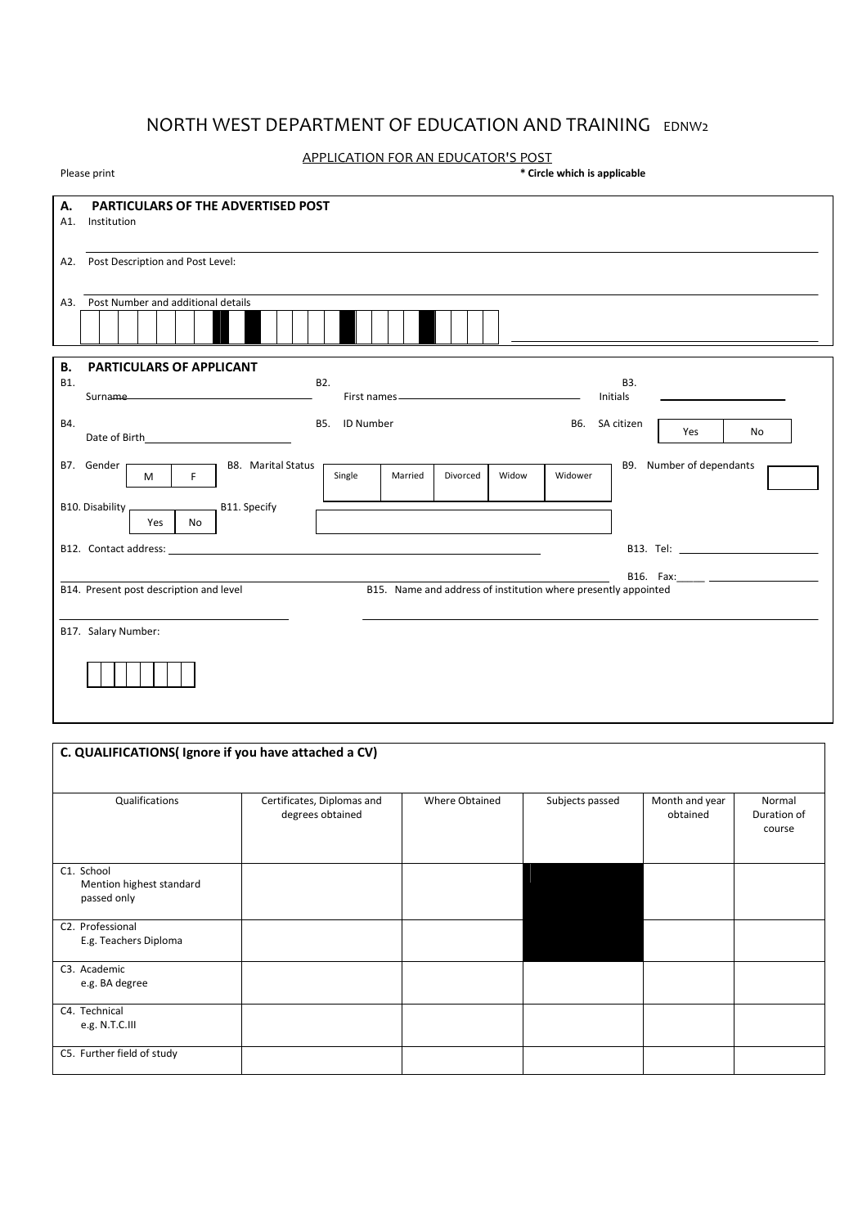# NORTH WEST DEPARTMENT OF EDUCATION AND TRAINING EDNW2

### APPLICATION FOR AN EDUCATOR'S POST

| Please print | * Circle which is applicable |
|--------------|------------------------------|

| А.                                      | <b>PARTICULARS OF THE ADVERTISED POST</b>                                                                     |
|-----------------------------------------|---------------------------------------------------------------------------------------------------------------|
| A1. Institution                         |                                                                                                               |
|                                         |                                                                                                               |
|                                         |                                                                                                               |
| A2. Post Description and Post Level:    |                                                                                                               |
|                                         |                                                                                                               |
| A3. Post Number and additional details  |                                                                                                               |
|                                         |                                                                                                               |
|                                         |                                                                                                               |
|                                         |                                                                                                               |
| В.<br>PARTICULARS OF APPLICANT          |                                                                                                               |
|                                         | B3.                                                                                                           |
| B1.                                     | B2.<br>Surname<br>Initials                                                                                    |
|                                         | the control of the control of the control of the control of                                                   |
| B4.                                     | B5. ID Number<br>SA citizen<br>B6.                                                                            |
|                                         | Yes<br>No                                                                                                     |
|                                         |                                                                                                               |
| B7. Gender                              | B9. Number of dependants<br><b>B8.</b> Marital Status                                                         |
| F<br>$M$                                | Single<br>Divorced<br>Widow<br>Widower<br>Married                                                             |
|                                         |                                                                                                               |
| B10. Disability _                       | B11. Specify                                                                                                  |
| Yes<br>No                               |                                                                                                               |
|                                         |                                                                                                               |
|                                         |                                                                                                               |
|                                         | B16. Fax: 2008 2010 2010 2011 2021 2022 2023 2024 2022 2023 2024 2022 2023 2024 2022 2023 2024 2025 2026 2027 |
| B14. Present post description and level | B15. Name and address of institution where presently appointed                                                |
|                                         |                                                                                                               |
|                                         |                                                                                                               |
| B17. Salary Number:                     |                                                                                                               |
|                                         |                                                                                                               |
|                                         |                                                                                                               |
|                                         |                                                                                                               |
|                                         |                                                                                                               |
|                                         |                                                                                                               |

| C. QUALIFICATIONS(Ignore if you have attached a CV)   |                                                |                |                 |                            |                                 |  |  |  |  |
|-------------------------------------------------------|------------------------------------------------|----------------|-----------------|----------------------------|---------------------------------|--|--|--|--|
| Qualifications                                        | Certificates, Diplomas and<br>degrees obtained | Where Obtained | Subjects passed | Month and year<br>obtained | Normal<br>Duration of<br>course |  |  |  |  |
| C1. School<br>Mention highest standard<br>passed only |                                                |                |                 |                            |                                 |  |  |  |  |
| C2. Professional<br>E.g. Teachers Diploma             |                                                |                |                 |                            |                                 |  |  |  |  |
| C3. Academic<br>e.g. BA degree                        |                                                |                |                 |                            |                                 |  |  |  |  |
| C4. Technical<br>e.g. N.T.C.III                       |                                                |                |                 |                            |                                 |  |  |  |  |
| C5. Further field of study                            |                                                |                |                 |                            |                                 |  |  |  |  |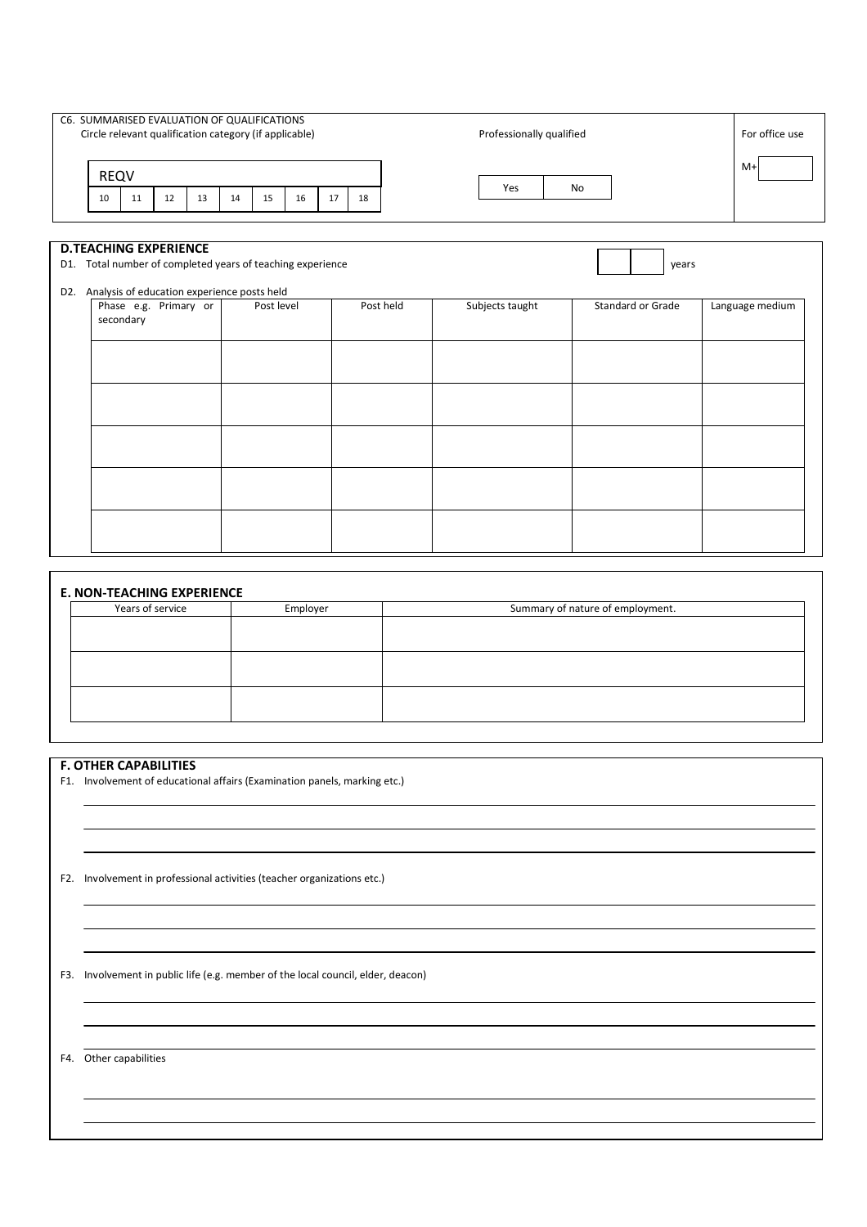| C6. SUMMARISED EVALUATION OF QUALIFICATIONS<br>Circle relevant qualification category (if applicable)                                         |          |                       |    |            |    |    |           |  | Professionally qualified |                          |       | For office use  |
|-----------------------------------------------------------------------------------------------------------------------------------------------|----------|-----------------------|----|------------|----|----|-----------|--|--------------------------|--------------------------|-------|-----------------|
| <b>REQV</b>                                                                                                                                   |          |                       |    |            |    |    |           |  |                          |                          |       | M+              |
| 10                                                                                                                                            | 12<br>11 | 13                    | 14 | 15         | 16 | 17 | 18        |  | Yes                      | No                       |       |                 |
| <b>D.TEACHING EXPERIENCE</b><br>D1. Total number of completed years of teaching experience<br>D2. Analysis of education experience posts held |          | Phase e.g. Primary or |    | Post level |    |    | Post held |  | Subjects taught          | <b>Standard or Grade</b> | years | Language medium |
| secondary                                                                                                                                     |          |                       |    |            |    |    |           |  |                          |                          |       |                 |
|                                                                                                                                               |          |                       |    |            |    |    |           |  |                          |                          |       |                 |
|                                                                                                                                               |          |                       |    |            |    |    |           |  |                          |                          |       |                 |
|                                                                                                                                               |          |                       |    |            |    |    |           |  |                          |                          |       |                 |

| Years of service<br>Summary of nature of employment.<br>Employer |  |  |  |  |  |  |
|------------------------------------------------------------------|--|--|--|--|--|--|
|                                                                  |  |  |  |  |  |  |
|                                                                  |  |  |  |  |  |  |
|                                                                  |  |  |  |  |  |  |
|                                                                  |  |  |  |  |  |  |
|                                                                  |  |  |  |  |  |  |
|                                                                  |  |  |  |  |  |  |
|                                                                  |  |  |  |  |  |  |

#### **F. OTHER CAPABILITIES**

F1. Involvement of educational affairs (Examination panels, marking etc.)

F2. Involvement in professional activities (teacher organizations etc.)

F3. Involvement in public life (e.g. member of the local council, elder, deacon)

F4. Other capabilities